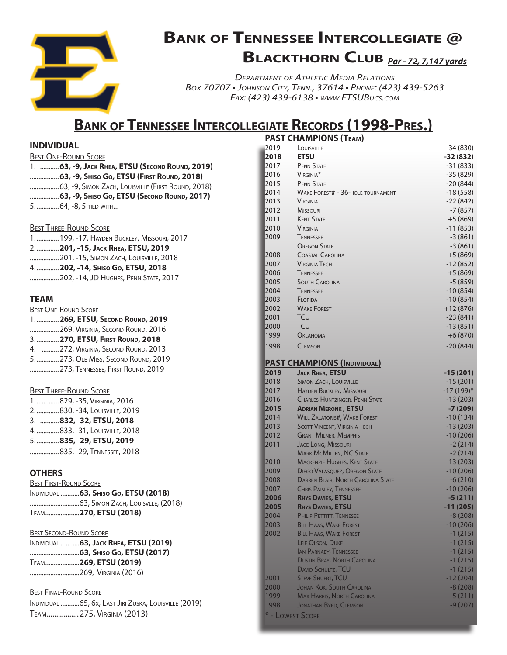

# **Bank of Tennessee Intercollegiate @ Blackthorn Club** *Par - 72, 7,147 yards*

*Department of Athletic Media Relations Box 70707 • Johnson City, Tenn., 37614 • Phone: (423) 439-5263 Fax: (423) 439-6138 • www.ETSUBucs.com*

### **Bank of Tennessee Intercollegiate Records (1998-Pres.)**

#### **INDIVIDUAL**

| <b>BEST ONE-ROUND SCORE</b> |                                                  |
|-----------------------------|--------------------------------------------------|
|                             | 1.  63, -9, JACK RHEA, ETSU (SECOND ROUND, 2019) |
|                             | 63, -9, Shiso Go, ETSU (First Round, 2018)       |
|                             |                                                  |
|                             | 63, -9, Shiso Go, ETSU (Second Round, 2017)      |
| 5.  64, -8, 5 TIED WITH     |                                                  |
|                             |                                                  |

#### **BEST THREE-ROUND SCORE**

| 1.   199, -17, HAYDEN BUCKLEY, MISSOURI, 2017  |
|------------------------------------------------|
| 2.  201, -15, JACK RHEA, ETSU, 2019            |
| <b> 201, -15, SIMON ZACH, LOUISVILLE, 2018</b> |
| 4.  202, -14, SHISO Go, ETSU, 2018             |
| <b> 202, -14, JD HUGHES, PENN STATE, 2017</b>  |
|                                                |

#### **TEAM**

| <b>BEST ONE-ROUND SCORE</b>            |
|----------------------------------------|
| 1.  269, ETSU, SECOND ROUND, 2019      |
| 269, VIRGINIA, SECOND ROUND, 2016      |
| 3.  270, ETSU, FIRST ROUND, 2018       |
| 4.  272, VIRGINIA, SECOND ROUND, 2013  |
| 5.   273, OLE MISS, SECOND ROUND, 2019 |
| 273, TENNESSEE, FIRST ROUND, 2019      |

#### **BEST THREE-ROUND SCORE**

| 1.   829, -35, VIRGINIA, 2016  |
|--------------------------------|
| 2. 830, -34, LOUISVILLE, 2019  |
| 3. 832, -32, ETSU, 2018        |
| 4.  833, -31, Louisville, 2018 |
| 5.  835, -29, ETSU, 2019       |
| 835, -29, TENNESSEE, 2018      |

#### **OTHERS**

| <b>BEST FIRST-ROUND SCORE</b> |                                       |
|-------------------------------|---------------------------------------|
|                               | INDIVIDUAL  63, SHISO Go, ETSU (2018) |
|                               |                                       |
|                               | TEAM270, ETSU (2018)                  |

| <b>BEST SECOND-ROUND SCORE</b>         |
|----------------------------------------|
| INDIVIDUAL  63, JACK RHEA, ETSU (2019) |
|                                        |
| TEAM269, ETSU (2019)                   |
| 269, VIRGINIA (2016)                   |

#### Best Final-Round Score

Individual ...........65, 6x, Last Jiri Zuska, Louisville (2019) Team.................275, Virginia (2013)

### **PAST CHAMPIONS (Team)**

| 2019                     | LOUISVILLE                                | $-34(830)$   |
|--------------------------|-------------------------------------------|--------------|
| 2018                     | <b>ETSU</b>                               | $-32(832)$   |
| 2017                     | <b>PENN STATE</b>                         | $-31(833)$   |
| 2016                     | VIRGINIA <sup>*</sup>                     | $-35(829)$   |
| 2015                     | <b>PENN STATE</b>                         | $-20(844)$   |
| 2014                     | <b>WAKE FOREST# - 36-HOLE TOURNAMENT</b>  | $-18(558)$   |
| 2013                     | <b>VIRGINIA</b>                           | $-22(842)$   |
| 2012                     | <b>MISSOURI</b>                           | $-7(857)$    |
| 2011                     | <b>KENT STATE</b>                         | $+5(869)$    |
| 2010                     | <b>VIRGINIA</b>                           | $-11(853)$   |
| 2009                     | <b>TENNESSEE</b>                          | $-3(861)$    |
|                          | <b>OREGON STATE</b>                       | $-3(861)$    |
| 2008                     | <b>COASTAL CAROLINA</b>                   | $+5(869)$    |
| 2007                     | <b>VIRGINIA TECH</b>                      | $-12(852)$   |
| 2006                     | <b>TENNESSEE</b>                          | $+5(869)$    |
| 2005                     | <b>SOUTH CAROLINA</b>                     | $-5(859)$    |
| 2004                     | <b>TENNESSEE</b>                          | $-10(854)$   |
| 2003                     | FLORIDA                                   | $-10(854)$   |
| 2002                     | <b>WAKE FOREST</b>                        | +12 (876)    |
| 2001                     | TCU                                       | $-23(841)$   |
| 2000                     | TCU                                       | $-13(851)$   |
| 1999                     | <b>Ок</b> <i>А</i> нома                   | $+6(870)$    |
| 1998                     | <b>CLEMSON</b>                            | $-20(844)$   |
|                          | <b>PAST CHAMPIONS (INDIVIDUAL)</b>        |              |
| 2019                     | <b>JACK RHEA, ETSU</b>                    | $-15(201)$   |
| 2018                     | <b>SIMON ZACH, LOUISVILLE</b>             | $-15(201)$   |
| 2017                     | <b>HAYDEN BUCKLEY, MISSOURI</b>           | $-17(199)$ * |
| 2016                     | <b>CHARLES HUNTZINGER, PENN STATE</b>     | $-13(203)$   |
| 2015                     | <b>ADRIAN MERONK, ETSU</b>                | $-7(209)$    |
| 2014                     | <b>WILL ZALATORIS#, WAKE FOREST</b>       | $-10(134)$   |
| 2013                     | <b>SCOTT VINCENT, VIRGINIA TECH</b>       | $-13(203)$   |
| 2012                     | <b>GRANT MILNER, MEMPHIS</b>              | $-10(206)$   |
| 2011                     | <b>JACE LONG, MISSOURI</b>                | $-2(214)$    |
|                          | <b>MARK MCMILLEN, NC STATE</b>            | $-2(214)$    |
| 2010                     | <b>MACKENZIE HUGHES, KENT STATE</b>       | $-13(203)$   |
| 2009                     | <b>DIEGO VALASQUEZ, OREGON STATE</b>      | $-10(206)$   |
| 2008                     | <b>DARREN BLAIR, NORTH CAROLINA STATE</b> | $-6(210)$    |
| 2007                     | <b>CHRIS PAISLEY, TENNESSEE</b>           | $-10(206)$   |
| 2006                     | <b>RHYS DAVIES, ETSU</b>                  | $-5(211)$    |
| 2005                     | <b>RHYS DAVIES, ETSU</b>                  | $-11(205)$   |
| 2004                     | PHILIP PETTITT, TENNESEE                  | $-8(208)$    |
| 2003                     | <b>BILL HAAS, WAKE FOREST</b>             | $-10(206)$   |
| 2002                     | <b>BILL HAAS, WAKE FOREST</b>             | $-1(215)$    |
|                          | LEIF OLSON, DUKE                          | $-1(215)$    |
|                          | <b>IAN PARNABY, TENNESSEE</b>             | $-1(215)$    |
|                          | <b>DUSTIN BRAY, NORTH CAROLINA</b>        | $-1(215)$    |
|                          | <b>DAVID SCHULTZ, TCU</b>                 | $-1(215)$    |
| 2001                     | <b>STEVE SHUERT, TCU</b>                  | $-12(204)$   |
| 2000                     | <b>JOHAN KOK, SOUTH CAROLINA</b>          | $-8(208)$    |
| 1999                     | <b>MAX HARRIS, NORTH CAROLINA</b>         | $-5(211)$    |
| 1998<br>* - LOWEST SCORE | <b>JONATHAN BYRD, CLEMSON</b>             | $-9(207)$    |
|                          |                                           |              |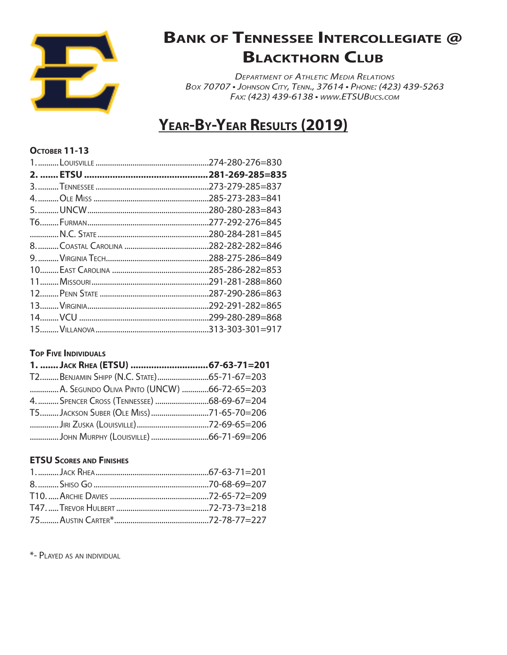

*Department of Athletic Media Relations Box 70707 • Johnson City, Tenn., 37614 • Phone: (423) 439-5263 Fax: (423) 439-6138 • www.ETSUBucs.com*

### **Year-By-Year Results (2019)**

#### **October 11-13**

| .281-269-285=835 |
|------------------|
|                  |
|                  |
|                  |
|                  |
|                  |
|                  |
|                  |
|                  |
| .291-281-288=860 |
|                  |
| 292-291-282=865  |
|                  |
|                  |
|                  |

### **TOP FIVE INDIVIDUALS**

| A. SEGUNDO OLIVA PINTO (UNCW) 66-72-65=203 |  |
|--------------------------------------------|--|
|                                            |  |
| T5JACKSON SUBER (OLE MISS) 71-65-70=206    |  |
|                                            |  |
|                                            |  |

### **ETSU Scores and Finishes**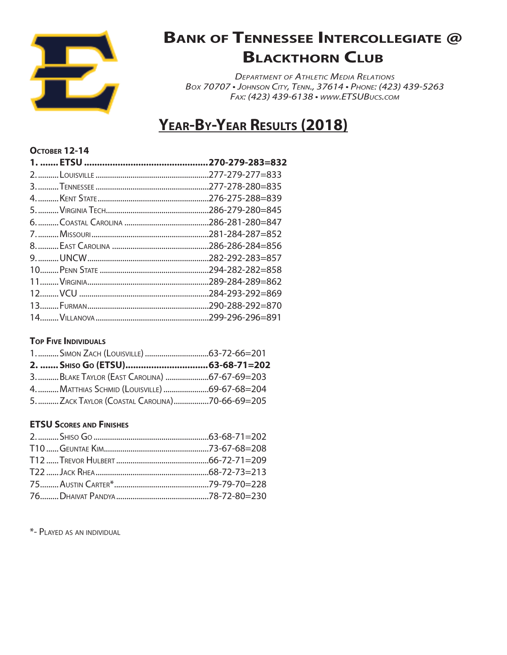

*Department of Athletic Media Relations Box 70707 • Johnson City, Tenn., 37614 • Phone: (423) 439-5263 Fax: (423) 439-6138 • www.ETSUBucs.com*

# **Year-By-Year Results (2018)**

### **October 12-14**

| .270-279-283=832 |
|------------------|
|                  |
|                  |
|                  |
| 286-279-280=845  |
| .286-281-280=847 |
|                  |
|                  |
| 282-292-283=857  |
|                  |
| .289-284-289=862 |
|                  |
|                  |
|                  |

#### **Top Five Individuals**

| 3.  BLAKE TAYLOR (EAST CAROLINA) 67-67-69=203  |  |
|------------------------------------------------|--|
| 4.  MATTHIAS SCHMID (LOUISVILLE) 69-67-68=204  |  |
| 5.  ZACK TAYLOR (COASTAL CAROLINA)70-66-69=205 |  |

### **ETSU Scores and Finishes**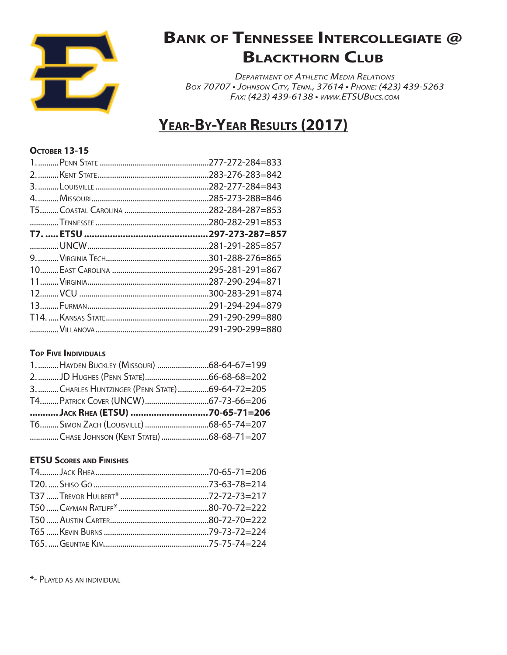

*Department of Athletic Media Relations Box 70707 • Johnson City, Tenn., 37614 • Phone: (423) 439-5263 Fax: (423) 439-6138 • www.ETSUBucs.com*

### **Year-By-Year Results (2017)**

### **October 13-15**

| 277-272-284=833  |
|------------------|
| .283-276-283=842 |
| .282-277-284=843 |
| .285-273-288=846 |
|                  |
| .280-282-291=853 |
| .297-273-287=857 |
| 281-291-285=857  |
| .301-288-276=865 |
| .295-281-291=867 |
| .287-290-294=871 |
| .300-283-291=874 |
| .291-294-294=879 |
|                  |
|                  |
|                  |

### **TOP FIVE INDIVIDUALS**

| 3.  CHARLES HUNTZINGER (PENN STATE) 69-64-72=205 |  |
|--------------------------------------------------|--|
|                                                  |  |
| JACK RHEA (ETSU) 70-65-71=206                    |  |
|                                                  |  |
| CHASE JOHNSON (KENT STATEI)68-68-71=207          |  |

### **ETSU Scores and Finishes**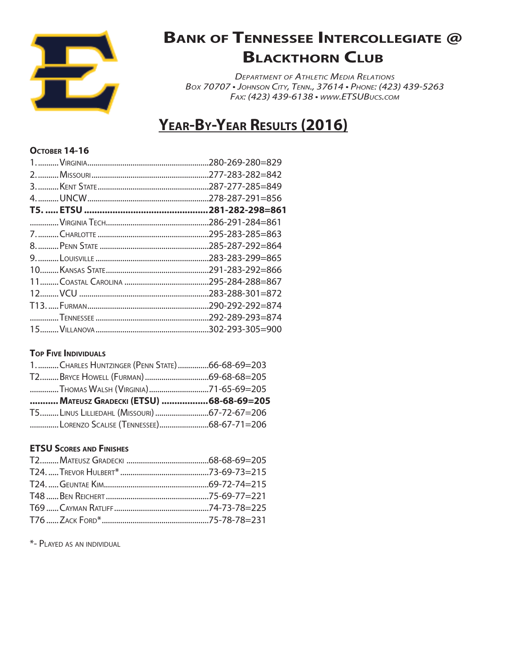

*Department of Athletic Media Relations Box 70707 • Johnson City, Tenn., 37614 • Phone: (423) 439-5263 Fax: (423) 439-6138 • www.ETSUBucs.com*

### **Year-By-Year Results (2016)**

#### **Остовек 14-16**

| .280-269-280=829 |
|------------------|
| 277-283-282=842  |
| 287-277-285=849  |
| .278-287-291=856 |
| .281-282-298=861 |
| .286-291-284=861 |
| .295-283-285=863 |
| .285-287-292=864 |
| .283-283-299=865 |
| .291-283-292=866 |
| .295-284-288=867 |
| .283-288-301=872 |
| .290-292-292=874 |
|                  |
|                  |
|                  |

### **TOP FIVE INDIVIDUALS**

| 1. CHARLES HUNTZINGER (PENN STATE) 66-68-69=203 |  |
|-------------------------------------------------|--|
|                                                 |  |
|                                                 |  |
|                                                 |  |
| MATEUSZ GRADECKI (ETSU) 68-68-69=205            |  |
|                                                 |  |

### **ETSU Scores and Finishes**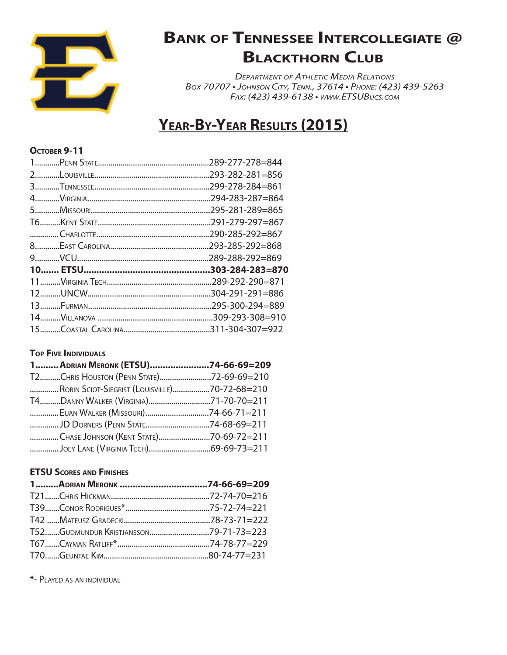

*Department of Athletic Media Relations Box 70707 • Johnson City, Tenn., 37614 • Phone: (423) 439-5263 Fax: (423) 439-6138 • www.ETSUBucs.com*

### **Year-By-Year Results (2015)**

#### **October 9-11**

| .289-277-278=844 |
|------------------|
| .293-282-281=856 |
| .299-278-284=861 |
| .294-283-287=864 |
| .295-281-289=865 |
|                  |
| .290-285-292=867 |
| .293-285-292=868 |
| .289-288-292=869 |
| .303-284-283=870 |
| .289-292-290=871 |
|                  |
|                  |
| .295-300-294=889 |
| .309-293-308=910 |
|                  |

### **TOP FIVE INDIVIDUALS**

| 1ADRIAN MERONK (ETSU)74-66-69=209             |  |
|-----------------------------------------------|--|
| T2CHRIS HOUSTON (PENN STATE)72-69-69=210      |  |
| ROBIN SCIOT-SIEGRIST (LOUISVILLE)70-72-68=210 |  |
|                                               |  |
|                                               |  |
| JD DORNERS (PENN STATE74-68-69=211            |  |
| CHASE JOHNSON (KENT STATE)70-69-72=211        |  |
|                                               |  |

### **ETSU Scores and Finishes**

| T52GUDMUNDUR KRISTJANSSON79-71-73=223 |  |
|---------------------------------------|--|
|                                       |  |
|                                       |  |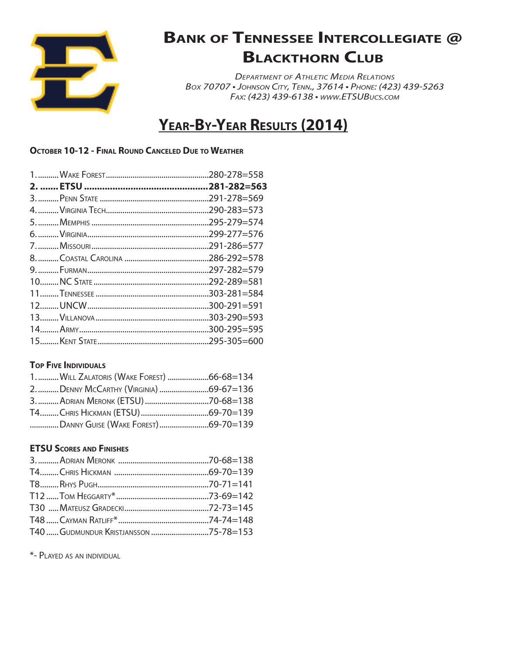

*Department of Athletic Media Relations Box 70707 • Johnson City, Tenn., 37614 • Phone: (423) 439-5263 Fax: (423) 439-6138 • www.ETSUBucs.com*

# **Year-By-Year Results (2014)**

#### **October 10-12 - Final Round Canceled Due to Weather**

### **Top Five Individuals**

| 1.  WILL ZALATORIS (WAKE FOREST) 66-68=134 |  |
|--------------------------------------------|--|
|                                            |  |
|                                            |  |
|                                            |  |
|                                            |  |

### **ETSU Scores and Finishes**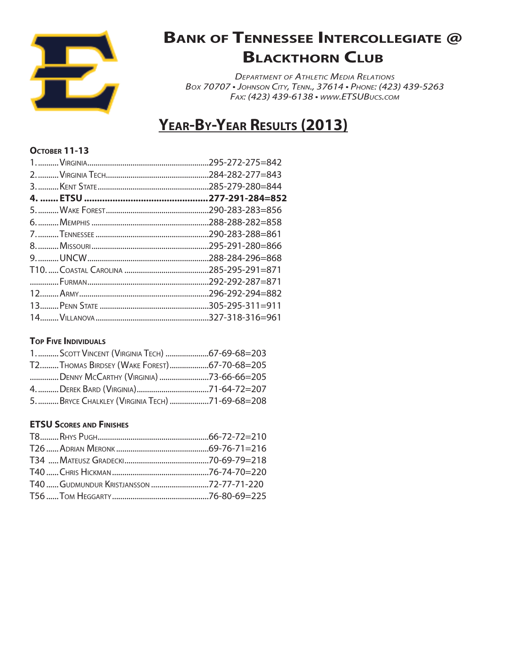

*Department of Athletic Media Relations Box 70707 • Johnson City, Tenn., 37614 • Phone: (423) 439-5263 Fax: (423) 439-6138 • www.ETSUBucs.com*

### **Year-By-Year Results (2013)**

#### **October 11-13**

| 285-279-280=844  |
|------------------|
| .277-291-284=852 |
|                  |
|                  |
| 290-283-288=861  |
| 295-291-280=866  |
|                  |
|                  |
| .292-292-287=871 |
|                  |
|                  |
|                  |

#### **Top Five Individuals**

| Т2THOMAS BIRDSEY (WAKE FOREST)67-70-68=205      |  |
|-------------------------------------------------|--|
| DENNY MCCARTHY (VIRGINIA) 73-66-66=205          |  |
|                                                 |  |
| 5.  BRYCE CHALKLEY (VIRGINIA TECH) 71-69-68=208 |  |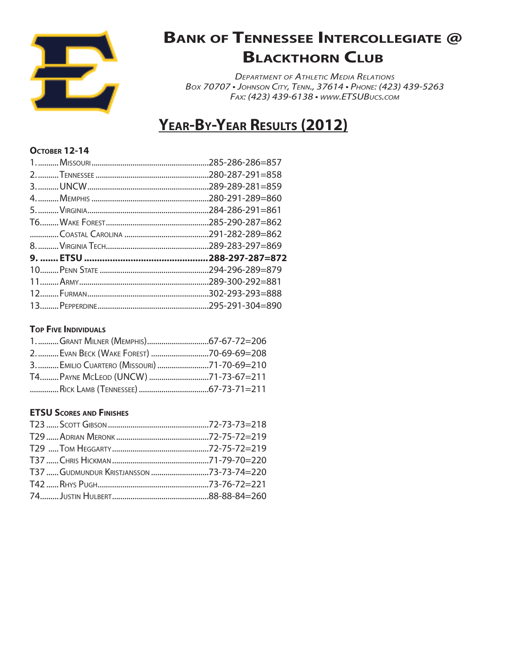

*Department of Athletic Media Relations Box 70707 • Johnson City, Tenn., 37614 • Phone: (423) 439-5263 Fax: (423) 439-6138 • www.ETSUBucs.com*

### **Year-By-Year Results (2012)**

### **October 12-14**

| 285-286-286=857  |
|------------------|
|                  |
| .289-289-281=859 |
| 280-291-289=860  |
|                  |
|                  |
|                  |
|                  |
|                  |
|                  |
|                  |
|                  |
|                  |

### **Top Five Individuals**

| 3.  EMILIO CUARTERO (MISSOURI) 71-70-69=210 |  |
|---------------------------------------------|--|
|                                             |  |
|                                             |  |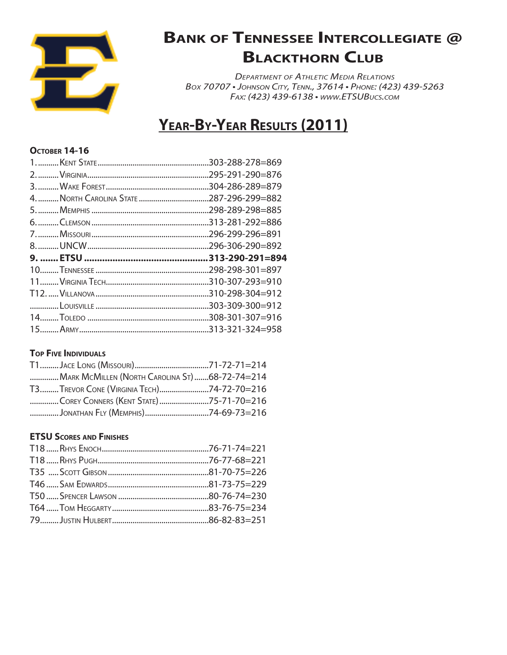

*Department of Athletic Media Relations Box 70707 • Johnson City, Tenn., 37614 • Phone: (423) 439-5263 Fax: (423) 439-6138 • www.ETSUBucs.com*

### **Year-By-Year Results (2011)**

#### **Остовек 14-16**

| 303-288-278=869  |
|------------------|
| .295-291-290=876 |
|                  |
| 287-296-299=882  |
| 298-289-298=885  |
|                  |
|                  |
| .296-306-290=892 |
|                  |
| .313-290-291=894 |
|                  |
|                  |
|                  |
|                  |
|                  |

### **TOP FIVE INDIVIDUALS**

| MARK MCMILLEN (NORTH CAROLINA ST)68-72-74=214 |  |
|-----------------------------------------------|--|
| T3TREVOR CONE (VIRGINIA TECH)74-72-70=216     |  |
| COREY CONNERS (KENT STATE)75-71-70=216        |  |
| JONATHAN FLY (MEMPHIS)74-69-73=216            |  |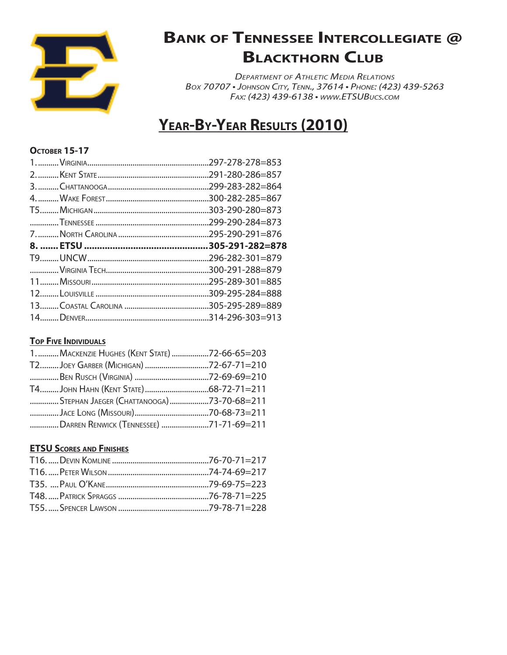

*Department of Athletic Media Relations Box 70707 • Johnson City, Tenn., 37614 • Phone: (423) 439-5263 Fax: (423) 439-6138 • www.ETSUBucs.com*

### **Year-By-Year Results (2010)**

### **October 15-17**

|  | .297-278-278=853 |  |
|--|------------------|--|
|  |                  |  |
|  | .299-283-282=864 |  |
|  | .300-282-285=867 |  |
|  |                  |  |
|  | .299-290-284=873 |  |
|  | 295-290-291=876  |  |
|  |                  |  |
|  | .305-291-282=878 |  |
|  | 296-282-301=879  |  |
|  | .300-291-288=879 |  |
|  | .295-289-301=885 |  |
|  |                  |  |
|  |                  |  |

#### **Top Five Individuals**

| 1.  MACKENZIE HUGHES (KENT STATE) 72-66-65=203 |  |
|------------------------------------------------|--|
| T2JOEY GARBER (MICHIGAN) 72-67-71=210          |  |
|                                                |  |
|                                                |  |
| STEPHAN JAEGER (CHATTANOOGA)73-70-68=211       |  |
|                                                |  |
| DARREN RENWICK (TENNESSEE) 71-71-69=211        |  |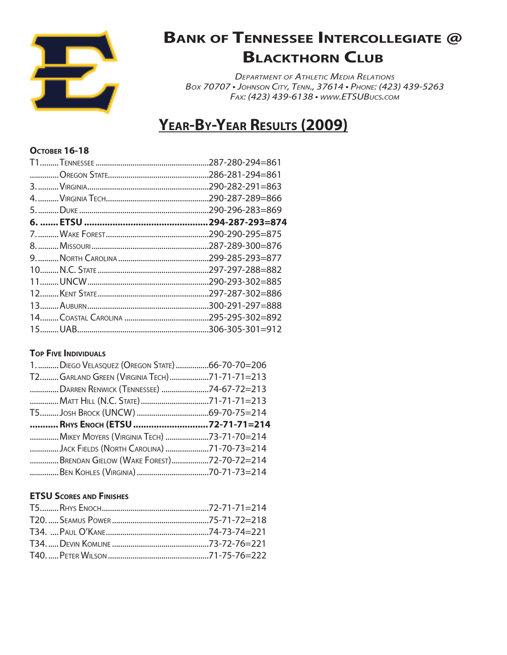

*Department of Athletic Media Relations Box 70707 • Johnson City, Tenn., 37614 • Phone: (423) 439-5263 Fax: (423) 439-6138 • www.ETSUBucs.com*

### **Year-By-Year Results (2009)**

### **October 16-18**

| 286-281-294=861<br>.290-282-291=863<br>.290-287-289=866<br>.290-296-283=869<br>.294-287-293=874<br>.290-290-295=875 |
|---------------------------------------------------------------------------------------------------------------------|
|                                                                                                                     |
|                                                                                                                     |
|                                                                                                                     |
|                                                                                                                     |
|                                                                                                                     |
|                                                                                                                     |
| .287-289-300=876                                                                                                    |
| .299-285-293=877                                                                                                    |
| .297-297-288=882                                                                                                    |
| .290-293-302=885                                                                                                    |
| .297-287-302=886                                                                                                    |
| .300-291-297=888                                                                                                    |
|                                                                                                                     |
|                                                                                                                     |
|                                                                                                                     |

### **TOP FIVE INDIVIDUALS**

| 1.  DIEGO VELASQUEZ (OREGON STATE) 66-70-70=206                                       |  |
|---------------------------------------------------------------------------------------|--|
| T2GARLAND GREEN (VIRGINIA TECH)71-71-71=213                                           |  |
| DARREN RENWICK (TENNESSEE) 74-67-72=213                                               |  |
|                                                                                       |  |
|                                                                                       |  |
|                                                                                       |  |
| RHYS ENOCH (ETSU 72-71-71=214                                                         |  |
| MIKEY MOYERS (VIRGINIA TECH) 73-71-70=214                                             |  |
|                                                                                       |  |
| JACK FIELDS (NORTH CAROLINA) 71-70-73=214<br>BRENDAN GIELOW (WAKE FOREST)72-70-72=214 |  |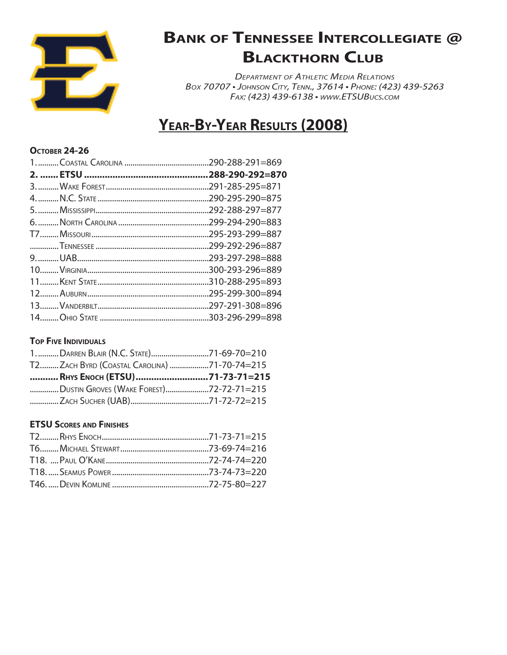

*Department of Athletic Media Relations Box 70707 • Johnson City, Tenn., 37614 • Phone: (423) 439-5263 Fax: (423) 439-6138 • www.ETSUBucs.com*

### **Year-By-Year Results (2008)**

#### **OCTOBER 24-26**

| .290-288-291=869 |
|------------------|
| .288-290-292=870 |
| .291-285-295=871 |
| .290-295-290=875 |
| 292-288-297=877  |
| .299-294-290=883 |
|                  |
|                  |
| 293-297-298=888  |
| .300-293-296=889 |
| 310-288-295=893  |
|                  |
|                  |
|                  |

#### **Top Five Individuals**

| 1.  DARREN BLAIR (N.C. STATE)71-69-70=210   |  |
|---------------------------------------------|--|
| Т2ZACH BYRD (COASTAL CAROLINA) 71-70-74=215 |  |
| RHYS ENOCH (ETSU)71-73-71=215               |  |
| DUSTIN GROVES (WAKE FOREST)72-72-71=215     |  |
|                                             |  |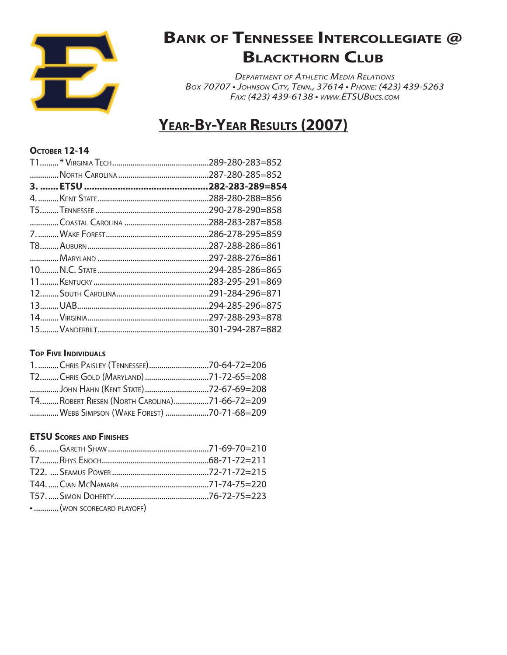

*Department of Athletic Media Relations Box 70707 • Johnson City, Tenn., 37614 • Phone: (423) 439-5263 Fax: (423) 439-6138 • www.ETSUBucs.com*

### **Year-By-Year Results (2007)**

#### **October 12-14**

| .289-280-283=852 |
|------------------|
| 287-280-285=852  |
|                  |
| .288-280-288=856 |
| .290-278-290=858 |
|                  |
| 286-278-295=859  |
| .287-288-286=861 |
| .297-288-276=861 |
| .294-285-286=865 |
| .283-295-291=869 |
|                  |
| .294-285-296=875 |
|                  |
|                  |

### **TOP FIVE INDIVIDUALS**

| JOHN HAHN (KENT STATE)72-67-69=208            |  |
|-----------------------------------------------|--|
| T4 ROBERT RIESEN (NORTH CAROLINA)71-66-72=209 |  |
| WEBB SIMPSON (WAKE FOREST) 70-71-68=209       |  |

| •  (WON SCORECARD PLAYOFF) |  |
|----------------------------|--|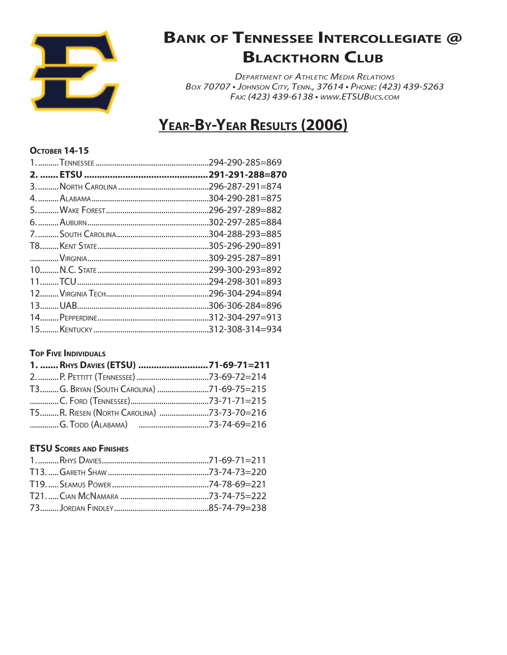

*Department of Athletic Media Relations Box 70707 • Johnson City, Tenn., 37614 • Phone: (423) 439-5263 Fax: (423) 439-6138 • www.ETSUBucs.com*

### **Year-By-Year Results (2006)**

#### **October 14-15**

| .294-290-285=869 |
|------------------|
| .291-291-288=870 |
| .296-287-291=874 |
| .304-290-281=875 |
| .296-297-289=882 |
|                  |
| 304-288-293=885  |
| .305-296-290=891 |
| .309-295-287=891 |
| .299-300-293=892 |
| .294-298-301=893 |
| .296-304-294=894 |
| .306-306-284=896 |
|                  |
|                  |

### **TOP FIVE INDIVIDUALS**

| 1.  RHYS DAVIES (ETSU) 71-69-71=211       |
|-------------------------------------------|
|                                           |
| ТЗG. BRYAN (SOUTH CAROLINA) 71-69-75=215  |
|                                           |
| T5R. RIESEN (NORTH CAROLINA) 73-73-70=216 |
|                                           |
|                                           |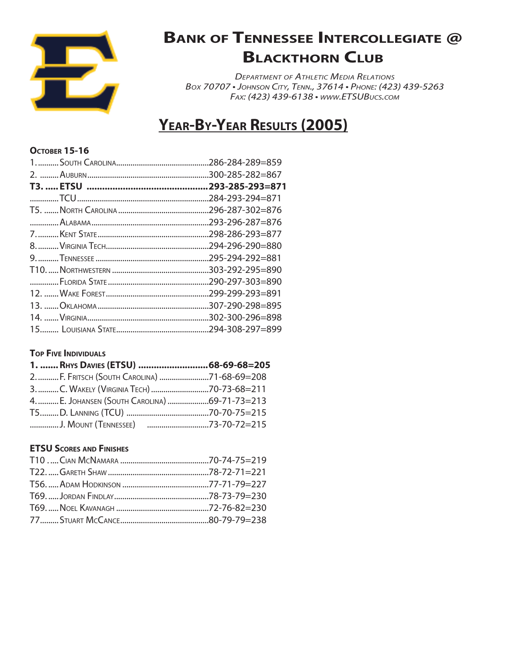

*Department of Athletic Media Relations Box 70707 • Johnson City, Tenn., 37614 • Phone: (423) 439-5263 Fax: (423) 439-6138 • www.ETSUBucs.com*

### **Year-By-Year Results (2005)**

#### **October 15-16**

| .286-284-289=859 |
|------------------|
| .300-285-282=867 |
| .293-285-293=871 |
| .284-293-294=871 |
| .296-287-302=876 |
| .293-296-287=876 |
| .298-286-293=877 |
| .294-296-290=880 |
| .295-294-292=881 |
| .303-292-295=890 |
| .290-297-303=890 |
| .299-299-293=891 |
| .307-290-298=895 |
|                  |
|                  |

### **TOP FIVE INDIVIDUALS**

| 2.  F. FRITSCH (SOUTH CAROLINA) 71-68-69=208  |
|-----------------------------------------------|
| 3. C. WAKELY (VIRGINIA TECH) 70-73-68=211     |
| 4.  E. JOHANSEN (SOUTH CAROLINA) 69-71-73=213 |
|                                               |
|                                               |
|                                               |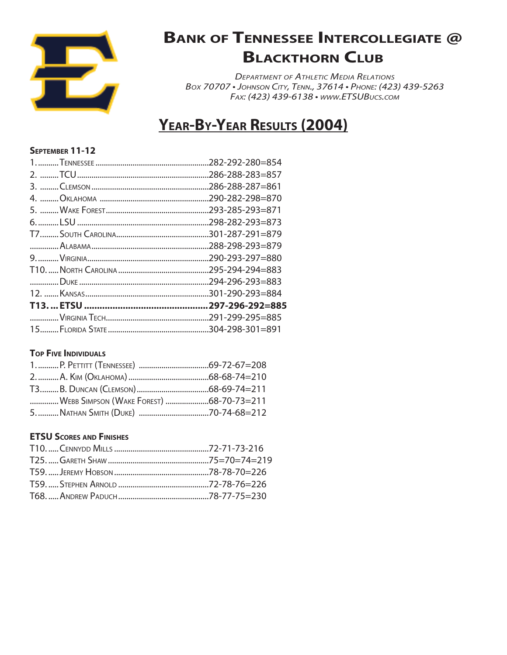

*Department of Athletic Media Relations Box 70707 • Johnson City, Tenn., 37614 • Phone: (423) 439-5263 Fax: (423) 439-6138 • www.ETSUBucs.com*

### **Year-By-Year Results (2004)**

### **September 11-12**

| .282-292-280=854 |
|------------------|
| .286-288-283=857 |
| .286-288-287=861 |
| .290-282-298=870 |
| .293-285-293=871 |
| .298-282-293=873 |
|                  |
| .288-298-293=879 |
| .290-293-297=880 |
| 295-294-294=883  |
| .294-296-293=883 |
|                  |
| .297-296-292=885 |
|                  |
|                  |

### **TOP FIVE INDIVIDUALS**

| WEBB SIMPSON (WAKE FOREST) 68-70-73=211 |  |
|-----------------------------------------|--|
|                                         |  |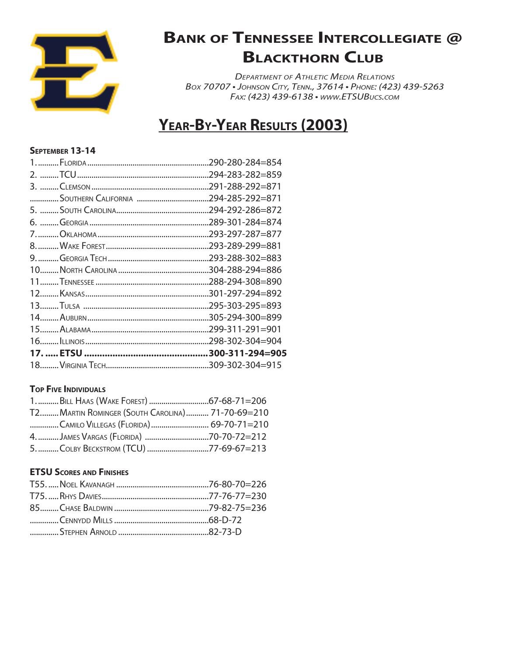

*Department of Athletic Media Relations Box 70707 • Johnson City, Tenn., 37614 • Phone: (423) 439-5263 Fax: (423) 439-6138 • www.ETSUBucs.com*

### **Year-By-Year Results (2003)**

#### **September 13-14**

| .290-280-284=854 |
|------------------|
|                  |
| .291-288-292=871 |
|                  |
| .294-292-286=872 |
| .289-301-284=874 |
|                  |
|                  |
|                  |
|                  |
|                  |
|                  |
| .295-303-295=893 |
| .305-294-300=899 |
| .299-311-291=901 |
| .298-302-304=904 |
|                  |
| .309-302-304=915 |

### **Top Five Individuals**

| T2 MARTIN ROMINGER (SOUTH CAROLINA) 71-70-69=210 |  |
|--------------------------------------------------|--|
| CAMILO VILLEGAS (FLORIDA) 69-70-71=210           |  |
|                                                  |  |
| 5. COLBY BECKSTROM (TCU) 77-69-67=213            |  |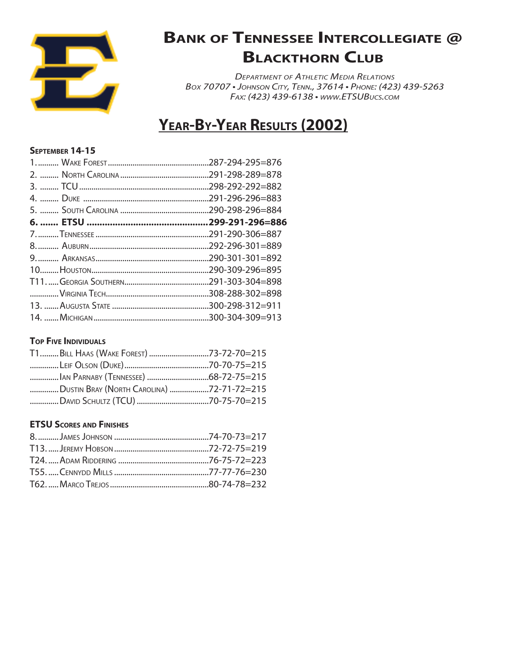

*Department of Athletic Media Relations Box 70707 • Johnson City, Tenn., 37614 • Phone: (423) 439-5263 Fax: (423) 439-6138 • www.ETSUBucs.com*

### **Year-By-Year Results (2002)**

### **September 14-15**

| .298-292-292=882 |
|------------------|
| .291-296-296=883 |
|                  |
|                  |
|                  |
|                  |
|                  |
| 290-309-296=895  |
|                  |
|                  |
|                  |
|                  |

### **Top Five Individuals**

| T1BILL HAAS (WAKE FOREST) 73-72-70=215    |  |
|-------------------------------------------|--|
|                                           |  |
|                                           |  |
| DUSTIN BRAY (NORTH CAROLINA) 72-71-72=215 |  |
|                                           |  |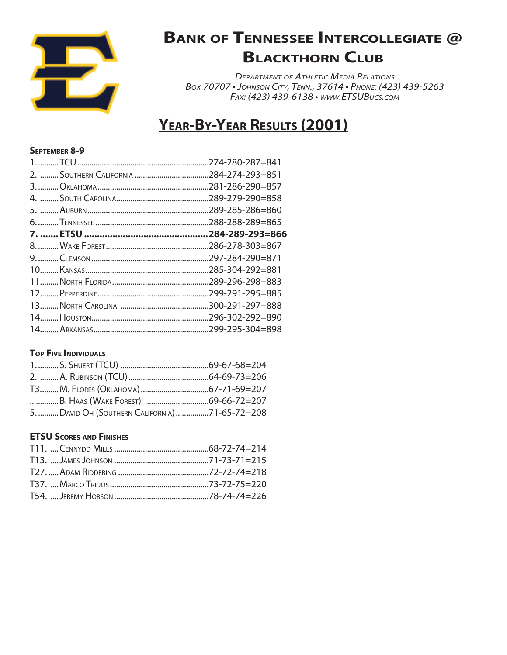

*Department of Athletic Media Relations Box 70707 • Johnson City, Tenn., 37614 • Phone: (423) 439-5263 Fax: (423) 439-6138 • www.ETSUBucs.com*

### **Year-By-Year Results (2001)**

### **September 8-9**

| 274-280-287=841  |
|------------------|
| 284-274-293=851  |
| .281-286-290=857 |
| .289-279-290=858 |
| .289-285-286=860 |
| .288-288-289=865 |
| .284-289-293=866 |
| .286-278-303=867 |
| .297-284-290=871 |
| .285-304-292=881 |
| .289-296-298=883 |
| .299-291-295=885 |
|                  |
| .296-302-292=890 |
| .299-295-304=898 |
|                  |

### **TOP FIVE INDIVIDUALS**

| 5.  DAVID OH (SOUTHERN CALIFORNIA) 71-65-72=208 |  |
|-------------------------------------------------|--|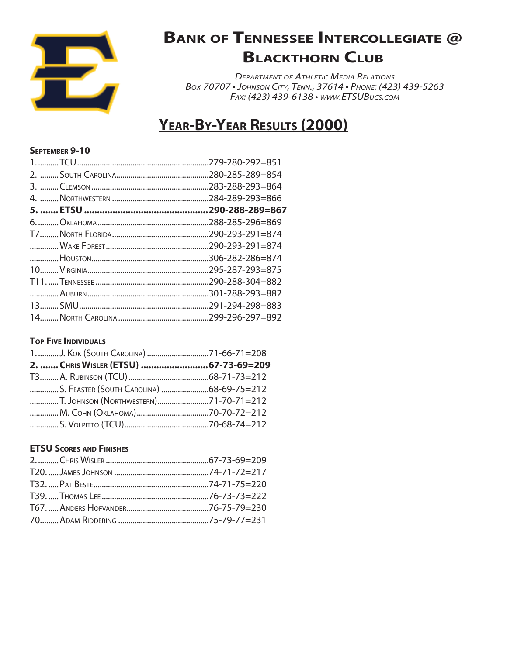

*Department of Athletic Media Relations Box 70707 • Johnson City, Tenn., 37614 • Phone: (423) 439-5263 Fax: (423) 439-6138 • www.ETSUBucs.com*

### **Year-By-Year Results (2000)**

### **September 9-10**

| .279-280-292=851 |
|------------------|
| .280-285-289=854 |
| .283-288-293=864 |
| .284-289-293=866 |
| .290-288-289=867 |
| .288-285-296=869 |
| .290-293-291=874 |
| .290-293-291=874 |
| .306-282-286=874 |
| .295-287-293=875 |
| .290-288-304=882 |
|                  |
| .291-294-298=883 |
| .299-296-297=892 |
|                  |

### **Top Five Individuals**

| S. FEASTER (SOUTH CAROLINA) 68-69-75=212 |  |
|------------------------------------------|--|
|                                          |  |
|                                          |  |
|                                          |  |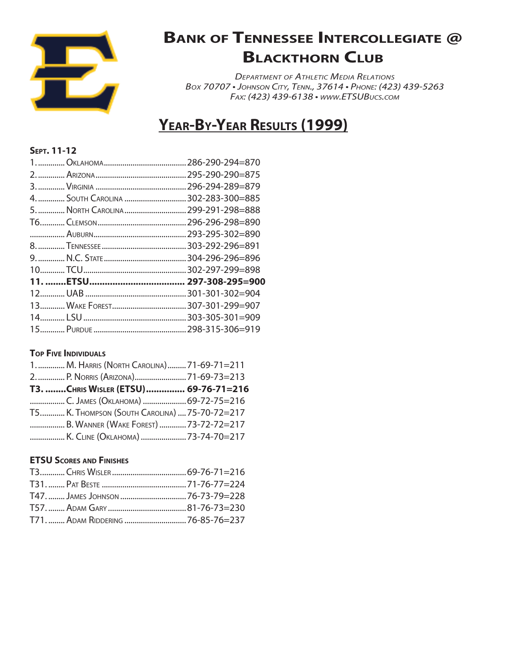

*Department of Athletic Media Relations Box 70707 • Johnson City, Tenn., 37614 • Phone: (423) 439-5263 Fax: (423) 439-6138 • www.ETSUBucs.com*

# **Year-By-Year Results (1999)**

### **Sept. 11-12**

|                                     | .295-290-290=875 |
|-------------------------------------|------------------|
|                                     |                  |
| 4.  SOUTH CAROLINA  302-283-300=885 |                  |
| 5.  NORTH CAROLINA  299-291-298=888 |                  |
|                                     |                  |
|                                     |                  |
|                                     |                  |
|                                     |                  |
|                                     |                  |
|                                     | 297-308-295=900  |
|                                     |                  |
|                                     |                  |
|                                     |                  |
|                                     |                  |
|                                     |                  |

### **TOP FIVE INDIVIDUALS**

| 1.  M. HARRIS (NORTH CAROLINA)  71-69-71=211  |  |
|-----------------------------------------------|--|
|                                               |  |
| T3. CHRIS WISLER (ETSU)  69-76-71=216         |  |
| C. JAMES (OKLAHOMA) 69-72-75=216              |  |
| Т5 К. Тномрзон (South Carolina)  75-70-72=217 |  |
| B. WANNER (WAKE FOREST) 73-72-72=217          |  |
| K. CLINE (OKLAHOMA) 73-74-70=217              |  |

| Т47.  JAMES JOHNSON 76-73-79=228 |  |
|----------------------------------|--|
|                                  |  |
| Т71 Арам Riddering 76-85-76=237  |  |